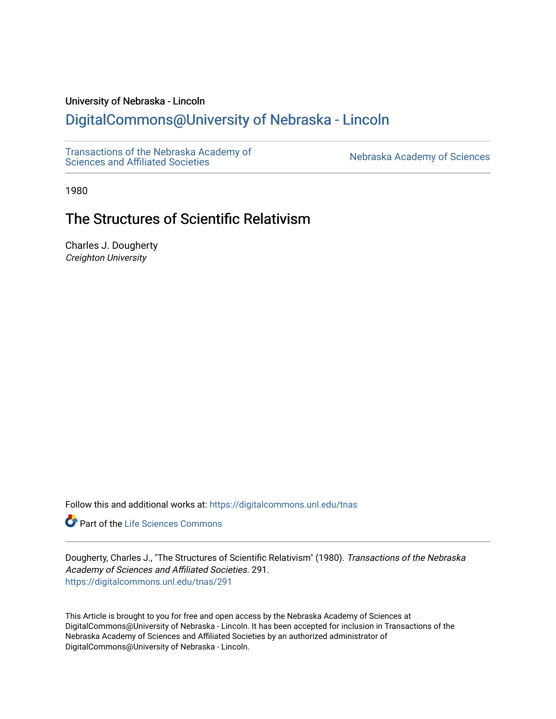# University of Nebraska - Lincoln

# [DigitalCommons@University of Nebraska - Lincoln](https://digitalcommons.unl.edu/)

[Transactions of the Nebraska Academy of](https://digitalcommons.unl.edu/tnas)  Transactions of the Nebraska Academy of Sciences<br>Sciences and Affiliated Societies

1980

# The Structures of Scientific Relativism

Charles J. Dougherty Creighton University

Follow this and additional works at: [https://digitalcommons.unl.edu/tnas](https://digitalcommons.unl.edu/tnas?utm_source=digitalcommons.unl.edu%2Ftnas%2F291&utm_medium=PDF&utm_campaign=PDFCoverPages) 

Part of the [Life Sciences Commons](http://network.bepress.com/hgg/discipline/1016?utm_source=digitalcommons.unl.edu%2Ftnas%2F291&utm_medium=PDF&utm_campaign=PDFCoverPages) 

Dougherty, Charles J., "The Structures of Scientific Relativism" (1980). Transactions of the Nebraska Academy of Sciences and Affiliated Societies. 291. [https://digitalcommons.unl.edu/tnas/291](https://digitalcommons.unl.edu/tnas/291?utm_source=digitalcommons.unl.edu%2Ftnas%2F291&utm_medium=PDF&utm_campaign=PDFCoverPages) 

This Article is brought to you for free and open access by the Nebraska Academy of Sciences at DigitalCommons@University of Nebraska - Lincoln. It has been accepted for inclusion in Transactions of the Nebraska Academy of Sciences and Affiliated Societies by an authorized administrator of DigitalCommons@University of Nebraska - Lincoln.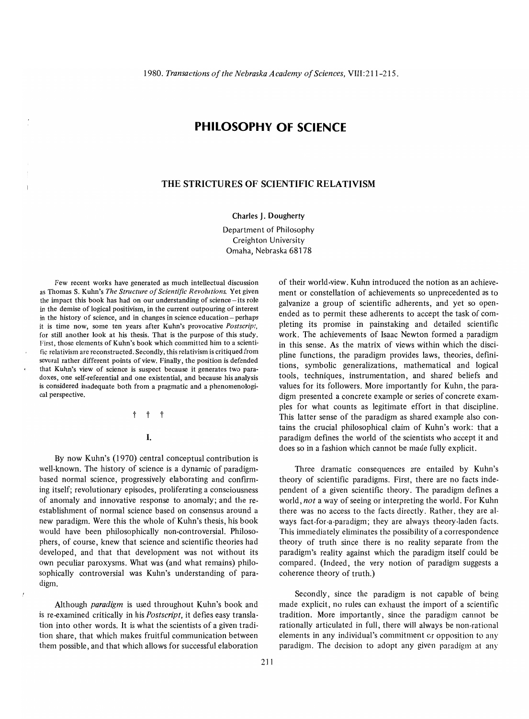# **PHILOSOPHY OF SCIENCE**

# **THE STRICTURES OF SCIENTIFIC RELATIVISM**

#### Charles J. Dougherty

Department of Philosophy Creighton University Omaha, Nebraska 68178

Few recent works have generated as much intellectual discussion as Thomas S. Kuhn's *The Structure of Scientific Revolutions.* Yet given the impact this book has had on our understanding of science-its role in the demise of logical positivism, in the current outpouring of interest in the history of science, and in changes in science education – perhaps it is time now, some ten years after Kuhn's provocative *Postscript,*  for still another look at his thesis. That is the purpose of this study. First, those elements of Kuhn's book which committed him to a scientific relativism are reconstructed. Secondly, this relativism is critiqued from several rather different points of view. Finally, the position is defended that Kuhn's view of science is suspect because it generates two paradoxes, one self-referential and one existential, and because his analysis is considered inadequate both from a pragmatic and a phenomenological perspective.

t t t

## I.

By now Kuhn's (1970) central conceptual contribution is well-known. The history of science is a dynamic of paradigmbased normal science, progressively elaborating and confirming itself; revolutionary episodes, proliferating a consciousness of anomaly and innovative response to anomaly; and the reestablishment of normal science based on consensus around a new paradigm. Were this the whole of Kuhn's thesis, his book would have been philosophically non-controversial. Philosophers, of course, knew that science and scientific theories had developed, and that that development was not without its own peculiar paroxysms. What was (and what remains) philosophically controversial was Kuhn's understanding of paradigm.

Although *paradigm* is used throughout Kuhn's book and is re-examined critically in his *Postscript,* it defies easy translation into other words. It is what the scientists of a given tradition share, that which makes fruitful communication between them possible, and that which allows for successful elaboration of their world-view. Kuhn introduced the notion as an achievement or constellation of achievements so unprecedented as to galvanize a group of scientific adherents, and yet so openended as to permit these adherents to accept the task of completing its promise in painstaking and detailed scientific work. The achievements of Isaac Newton formed a paradigm in this sense. As the matrix of views within which the discipline functions, the paradigm provides laws, theories, definitions, symbolic generalizations, mathematical and logical tools, techniques, instrumentation, and shared beliefs and values for its followers. More importantly for Kuhn, the paradigm presented a concrete example or series of concrete examples for what counts as legitimate effort in that discipline. This latter sense of the paradigm as shared example also contains the crucial philosophical claim of Kuhn's work: that a paradigm defines the world of the scientists who accept it and does so in a fashion which cannot be made fully explicit.

Three dramatic consequences are entailed by Kuhn's theory of scientific paradigms. First, there are no facts independent of a given scientific theory. The paradigm defines a world, *not* a way of seeing or interpreting the world. For Kuhn there was no access to the facts directly. Rather, they are always fact-for-a-paradigm; they are always theory-laden facts. This immediately eliminates the possibility of a correspondence theory of truth since there is no reality separate from the paradigm's reality against which the paradigm itself could be compared. (Indeed, the very notion of paradigm suggests a coherence theory of truth.)

Secondly, since the paradigm is not capable of being made explicit, no rules can exhaust the import of a scientific tradition. More importantly, since the paradigm cannot be rationally articulated in full, there will always be non-rational elements in any individual's commitment or opposition to any paradigm. The decision to adopt any given paradigm at any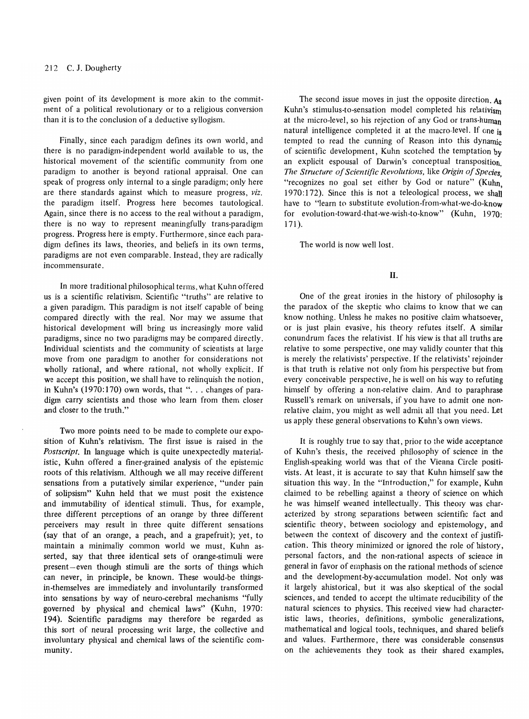given point of its development is more akin to the commitment of a political revolutionary or to a religious conversion than it is to the conclusion of a deductive syllogism.

Finally, since each paradigm defines its own world, and there is no paradigm-independent world available to us, the historical movement of the scientific community from one paradigm to another is beyond rational appraisal. One can speak of progress only internal to a single paradigm; only here are there standards against which to measure progress, *viz.*  the paradigm itself. Progress here becomes tautological. Again, since there is no access to the real without a paradigm, there is no way to represent meaningfully trans-paradigm progress. Progress here is empty. Furthermore, since each paradigm defines its laws, theories, and beliefs in its own terms, paradigms are not even comparable. Instead, they are radically incommensurate.

In more traditional philosophical terms, what Kuhn offered us is a scientific relativism. Scientific "truths" are relative to a given paradigm. This paradigm is not itself capable of being compared directly with the real. Nor may we assume that historical development will bring us increasingly more valid paradigms, since no two paradigms may be compared directly. Individual scientists and the community of scientists at large move from one paradigm to another for considerations not wholly rational, and where rational, not wholly explicit. If we accept this position, we shall have to relinquish the notion, in Kuhn's  $(1970:170)$  own words, that "... changes of paradigm carry scientists and those who learn from them closer and closer to the truth."

Two more points need to be made to complete our exposition of Kuhn's relativism. The first issue is raised in the *Postscript.* In language which is quite unexpectedly materialistic, Kuhn offered a finer-grained analysis of the epistemic roots of this relativism. Although we all may receive different sensations from a putatively similar experience, "under pain of solipsism" Kuhn held that we must posit the existence and immutability of identical stimuli. Thus, for example, three different perceptions of an orange by three different perceivers may result in three quite different sensations (say that of an orange, a peach, and a grapefruit); yet, to maintain a minimally common world we must, Kuhn asserted, say that three identical sets of orange-stimuli were present-even though stimuli are the sorts of things which can never, in principle, be known. These would-be thingsin-themselves are immediately and involuntarily transformed into sensations by way of neuro-cerebral mechanisms "fully governed by physical and chemical laws" (Kuhn, 1970: 194). Scientific paradigms may therefore be regarded as this sort of neural processing writ large, the collective and involuntary physical and chemical laws of the scientific community.

The second issue moves in just the opposite direction.  $A_8$ Kuhn's stimulus-to-sensation model completed his relativism at the micro-level, so his rejection of any God or trans-human natural intelligence completed it at the macro-level. If one is tempted to read the cunning of Reason into this dynamic of scientific development, Kuhn scotched the temptation by an explicit espousal of Darwin's conceptual transposition. *The Structure of Scientific Revolutions,* like *Origin of Species,*  "recognizes no goal set either by God or nature" (Kuhn 1970:172). Since this is not a teleological process, we shall have to "learn to substitute evolution-from-what-we-do-know for evolution-toward-that-we-wish-to-know" (Kuhn, 1970: 171).

The world is now well lost.

## II.

One of the great ironies in the history of philosophy is the paradox of the skeptic who claims to know that we can know nothing. Unless he makes no positive claim whatsoever, or is just plain evasive, his theory refutes itself. A similar conundrum faces the relativist. If his view is that all truths are relative to some perspective, one may validly counter that this is merely the relativists' perspective. If the relativists' rejoinder is that truth is relative not only from his perspective but from every conceivable perspective, he is well on his way to refuting himself by offering a non-relative claim. And to paraphrase Russell's remark on universals, if you have to admit one nonrelative claim, you might as well admit all that you need. Let us apply these general observations to Kuhn's own views.

It is roughly true to say that, prior to the wide acceptance of Kuhn's thesis, the received philosophy of science in the English-speaking world was that of the Vienna Circle positivists. At least, it is accurate to say that Kuhn himself saw the situation this way. In the "Introduction," for example, Kuhn claimed to be rebelling against a theory of science on which he was himself weaned intellectually. This theory was characterized by strong separations between scientific fact and scientific theory, between sociology and epistemology, and between the context of discovery and the context of justification. This theory minimized or ignored the role of history, personal factors, and the non-rational aspects of science in general in favor of emphasis on the rational methods of science and the development-by-accumulation model. Not only was it largely ahistorical, but it was also skeptical of the social sciences, and tended to accept the ultimate reducibility of the natural sciences to physics. This received view had characteristic laws, theories, definitions, symbolic generalizations, mathematical and logical tools, techniques, and shared beliefs and values. Furthermore, there was considerable consensus on the achievements they took as their shared examples,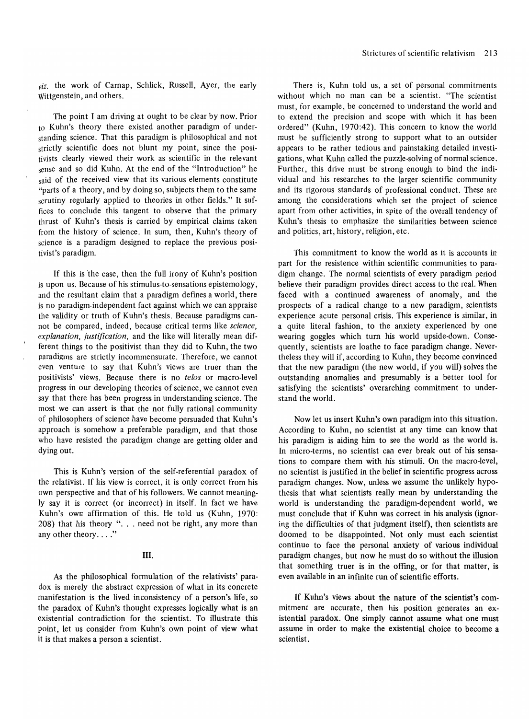*viz.* the work of Carnap, Schlick, Russell, Ayer, the early Wittgenstein, and others.

The point I am driving at ought to be clear by now. Prior to Kuhn's theory there existed another paradigm of understanding science. That this paradigm is philosophical and not strictly scientific does not blunt my point, since the positivists clearly viewed their work as scientific in the relevant sense and so did Kuhn. At the end of the "Introduction" he said of the received view that its various elements constitute "parts of a theory, and by doing so, subjects them to the same scrutiny regularly applied to theories in other fields." It suffices to conclude this tangent to observe that the primary thrust of Kuhn's thesis is carried by empirical claims taken from the history of science. In sum, then, Kuhn's theory of science is a paradigm designed to replace the previous positivist's paradigm.

If this is the case, then the full irony of Kuhn's position is upon us. Because of his stimulus-to-sensations epistemology, and the resultant claim that a paradigm defines a world, there is no paradigm-independent fact against which we can appraise the validity or truth of Kuhn's thesis. Because paradigms cannot be compared, indeed, because critical terms like *science, explanation, justification,* and the like will literally mean different things to the positivist than they did to Kuhn, the two paradigms are strictly incommensurate. Therefore, we cannot even venture to say that Kuhn's views are truer than the positivists' views. Because there is no *telos* or macro-level progress in our developing theories of science, we cannot even say that there has been progress in understanding science. The most we can assert is that the not fully rational community of philosophers of science have become persuaded that Kuhn's approach is somehow a preferable paradigm, and that those who have resisted the paradigm change are getting older and dying out.

This is Kuhn's version of the self-referential paradox of the relativist. If his view is correct, it is only correct from his own perspective and that of his followers. We cannot meaningly say it is correct (or incorrect) in itself. In fact we have Kuhn's own affirmation of this. He told us (Kuhn, 1970: 208) that his theory ". . . need not be right, any more than any other theory...."

# III.

As the philosophical formulation of the relativists' paradox is merely the abstract expression of what in its concrete manifestation is the lived inconsistency of a person's life, so the paradox of Kuhn's thought expresses logically what is an existential contradiction for the scientist. To illustrate this point, let us consider from Kuhn's own point of view what it is that makes a person a scientist.

There is, Kuhn told us, a set of personal commitments without which no man can be a scientist. "The scientist must, for example, be concerned to understand the world and to extend the precision and scope with which it has been ordered" (Kuhn, 1970:42). This concern to know the world must be sufficiently strong to support what to an outsider appears to be rather tedious and painstaking detailed investigations, what Kuhn called the puzzle-solving of normal science. Further, this drive must be strong enough to bind the individual and his researches to the larger scientific community and its rigorous standards of professional conduct. These are among the considerations which set the project of science apart from other activities, in spite of the overall tendency of Kuhn's thesis to emphasize the similarities between science and politics, art, history, religion, etc.

This commitment to know the world as it is accounts in part for the resistence within scientific communities to paradigm change. The normal scientists of every paradigm period believe their paradigm provides direct access to the real. When faced with a continued awareness of anomaly, and the prospects of a radical change to a new paradigm, scientists experience acute personal crisis. This experience is similar, in a quite literal fashion, to the anxiety experienced by one wearing goggles which turn his world upside-down. Consequently, scientists are loathe to face paradigm change. Nevertheless they will if, according to Kuhn, they become convinced that the new paradigm (the new world, if you will) solves the outstanding anomalies and presumably is a better tool for satisfying the scientists' overarching commitment to understand the world.

Now let us insert Kuhn's own paradigm into this situation. According to Kuhn, no scientist at any time can know that his paradigm is aiding him to see the world as the world is. In micro-terms, no scientist can ever break out of his sensations to compare them with his stimuli. On the macro-level, no scientist is justified in the belief in scientific progress across paradigm changes. Now, unless we assume the unlikely hypothesis that what scientists really mean by understanding the world is understanding the paradigm-dependent world, we must conclude that if Kuhn was correct in his analysis (ignoring the difficulties of that judgment itself), then scientists are doomed to be disappointed. Not only must each scientist continue to face the personal anxiety of various individual paradigm changes, but now he must do so without the illusion that something truer is in the offing, or for that matter, is even available in an infinite run of scientific efforts.

If Kuhn's views about the nature of the scientist's commitment are accurate, then his position generates an existential paradox. One simply cannot assume what one must assume in order to make the existential choice to become a scientist.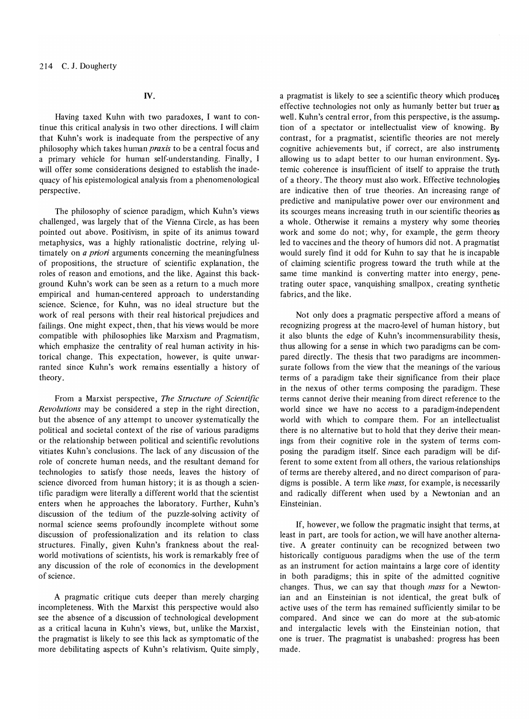N.

Having taxed Kuhn with two paradoxes, I want to continue this critical analysis in two other directions. I will claim that Kuhn's work is inadequate from the perspective of any philosophy which takes human *praxis* to be a central focus and a primary vehicle for human self-understanding. Finally, I will offer some considerations designed to establish the inadequacy of his epistemological analysis from a phenomenological perspective.

The philosophy of science paradigm, which Kuhn's views challenged, was largely that of the Vienna Circle, as has been pointed out above. Positivism, in spite of its animus toward metaphysics, was a highly rationalistic doctrine, relying ultimately on *a priori* arguments concerning the meaningfulness of propositions, the structure of scientific explanation, the roles of reason and emotions, and the like. Against this background Kuhn's work can be seen as a return to a much more empirical and human-centered approach to understanding science. Science, for Kuhn, was no ideal structure but the work of real persons with their real historical prejudices and failings. One might expect, then, that his views would be more compatible with philosophies like Marxism and Pragmatism, which emphasize the centrality of real human activity in historical change. This expectation, however, is quite unwarranted since Kuhn's work remains essentially a history of theory.

From a Marxist perspective, *The Structure of Scientific Revolutions* may be considered a step in the right direction, but the absence of any attempt to uncover systematically the political and societal context of the rise of various paradigms or the relationship between political and scientific revolutions vitiates Kuhn's conclusions. The lack of any discussion of the role of concrete human needs, and the resultant demand for technologies to satisfy those needs, leaves the history of science divorced from human history; it is as though a scientific paradigm were literally a different world that the scientist enters when he approaches the laboratory. Further, Kuhn's discussion of the tedium of the puzzle-solving activity of normal science seems profoundly incomplete without some discussion of professionalization and its relation to class structures. Finally, given Kuhn's frankness about the realworld motivations of scientists, his work is remarkably free of any discussion of the role of economics in the development of science.

A pragmatic critique cuts deeper than merely charging incompleteness. With the Marxist this perspective would also see the absence of a discussion of technological development as a critical lacuna in Kuhn's views, but, unlike the Marxist, the pragmatist is likely to see this lack as symptomatic of the more debilitating aspects of Kuhn's relativism. Quite simply, a pragmatist is likely to see a scientific theory which produces effective technologies not only as humanly better but truer as well. Kuhn's central error, from this perspective, is the assump. tion of a spectator or intellectualist view of knowing. By contrast, for a pragmatist, scientific theories are not merely cognitive achievements but, if correct, are also instruments allowing us to adapt better to our human environment. Systemic coherence is insufficient of itself to appraise the truth of a theory. The theory must also work. Effective technologies are indicative then of true theories. An increasing range of predictive and manipulative power over our environment and its scourges means increasing truth in our scientific theories as a whole. Otherwise it remains a mystery why some theories work and some do not; why, for example, the germ theory led to vaccines and the theory of humors did not. A pragmatist would surely find it odd for Kuhn to say that he is incapable of claiming scientific progress toward the truth while at the same time mankind is converting matter into energy, penetrating outer space, vanquishing smallpox, creating synthetic fabrics, and the like.

Not only does a pragmatic perspective afford a means of recognizing progress at the macro-level of human history, but it also blunts the edge of Kuhn's incommensurability thesis, thus allowing for a sense in which two paradigms can be compared directly. The thesis that two paradigms are incommensurate follows from the view that the meanings of the various terms of a paradigm take their significance from their place in the nexus of other terms composing the paradigm. These terms cannot derive their meaning from direct reference to the world since we have no access to a paradigm-independent world with which to compare them. For an intellectualist there is no alternative but to hold that they derive their meanings from their cognitive role in the system of terms composing the paradigm itself. Since each paradigm will be different to some extent from all others, the various relationships of terms are thereby altered, and no direct comparison of paradigms is possible. A term like *mass,* for example, is necessarily and radically different when used by a Newtonian and an Einsteinian.

If, however, we follow the pragmatic insight that terms, at least in part, are tools for action, we will have another alternative. A greater continuity can be recognized between two historically contiguous paradigms when the use of the term as an instrument for action maintains a large core of identity in both paradigms; this in spite of the admitted cognitive changes. Thus, we can say that though *mass* for a Newtonian and an Einsteinian is not identical, the great bulk of active uses of the term has remained sufficiently similar to be compared. And since we can do more at the sub-atomic and intergalactic levels with the Einsteinian notion, that one is truer. The pragmatist is unabashed: progress has been made.